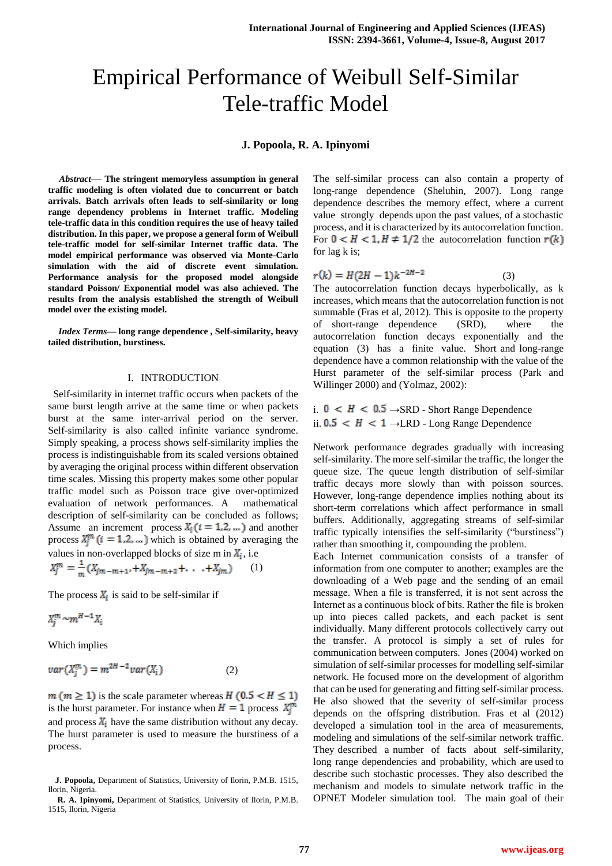# Empirical Performance of Weibull Self-Similar Tele-traffic Model

## **J. Popoola, R. A. Ipinyomi**

*Abstract*— **The stringent memoryless assumption in general traffic modeling is often violated due to concurrent or batch arrivals. Batch arrivals often leads to self-similarity or long range dependency problems in Internet traffic. Modeling tele-traffic data in this condition requires the use of heavy tailed distribution. In this paper, we propose a general form of Weibull tele-traffic model for self-similar Internet traffic data. The model empirical performance was observed via Monte-Carlo simulation with the aid of discrete event simulation. Performance analysis for the proposed model alongside standard Poisson/ Exponential model was also achieved. The results from the analysis established the strength of Weibull model over the existing model.**

*Index Terms***— long range dependence , Self-similarity, heavy tailed distribution, burstiness.**

## I. INTRODUCTION

 Self-similarity in internet traffic occurs when packets of the same burst length arrive at the same time or when packets burst at the same inter-arrival period on the server. Self-similarity is also called infinite variance syndrome. Simply speaking, a process shows self-similarity implies the process is indistinguishable from its scaled versions obtained by averaging the original process within different observation time scales. Missing this property makes some other popular traffic model such as Poisson trace give over-optimized evaluation of network performances. A mathematical description of self-similarity can be concluded as follows; Assume an increment process  $X_i$  ( $i = 1, 2, ...$ ) and another process  $X_i^m$  ( $i = 1, 2, ...$ ) which is obtained by averaging the values in non-overlapped blocks of size m in  $X_i$ , i.e<br>  $X_j^m = \frac{1}{m}(X_{jm-m+1}, +X_{jm-m+2} + \ldots +X_{jm})$  (1) (1)

The process  $X_i$  is said to be self-similar if

$$
X_i^m \sim m^{H-1} X_i
$$

Which implies

$$
var(X_j^m) = m^{2H-2}var(X_i)
$$
 (2)

 $m (m \ge 1)$  is the scale parameter whereas  $H (0.5 < H \le 1)$ is the hurst parameter. For instance when  $H = 1$  process  $X_i^m$ and process  $X_i$  have the same distribution without any decay. The hurst parameter is used to measure the burstiness of a process.

The self-similar process can also contain a property of long-range dependence (Sheluhin, 2007). Long range dependence describes the memory effect, where a current value strongly depends upon the past values, of a stochastic process, and it is characterized by its autocorrelation function. For  $0 < H < 1, H \neq 1/2$  the autocorrelation function  $r(k)$ for lag k is;

$$
r(k) = H(2H - 1)k^{-2H-2}
$$
 (3)

The autocorrelation function decays hyperbolically, as k increases, which means that the autocorrelation function is not summable (Fras et al, 2012). This is opposite to the property of short-range dependence (SRD), where the autocorrelation function decays exponentially and the equation (3) has a finite value. Short and long-range dependence have a common relationship with the value of the Hurst parameter of the self-similar process (Park and Willinger 2000) and (Yolmaz, 2002):

i.  $0 \lt H \lt 0.5 \rightarrow$ SRD - Short Range Dependence ii. 0.5 <  $H$  < 1 →LRD - Long Range Dependence

Network performance degrades gradually with increasing self-similarity. The more self-similar the traffic, the longer the queue size. The queue length distribution of self-similar traffic decays more slowly than with poisson sources. However, long-range dependence implies nothing about its short-term correlations which affect performance in small buffers. Additionally, aggregating streams of self-similar traffic typically intensifies the self-similarity ("burstiness") rather than smoothing it, compounding the problem.

Each Internet communication consists of a transfer of information from one computer to another; examples are the downloading of a Web page and the sending of an email message. When a file is transferred, it is not sent across the Internet as a continuous block of bits. Rather the file is broken up into pieces called packets, and each packet is sent individually. Many different protocols collectively carry out the transfer. A protocol is simply a set of rules for communication between computers. Jones (2004) worked on simulation of self-similar processes for modelling self-similar network. He focused more on the development of algorithm that can be used for generating and fitting self-similar process. He also showed that the severity of self-similar process depends on the offspring distribution. Fras et al (2012) developed a simulation tool in the area of measurements, modeling and simulations of the self-similar network traffic. They described a number of facts about self-similarity, long range dependencies and probability, which are used to describe such stochastic processes. They also described the mechanism and models to simulate network traffic in the OPNET Modeler simulation tool. The main goal of their

**J. Popoola,** Department of Statistics, University of Ilorin, P.M.B. 1515, Ilorin, Nigeria.

**R. A. Ipinyomi,** Department of Statistics, University of Ilorin, P.M.B. 1515, Ilorin, Nigeria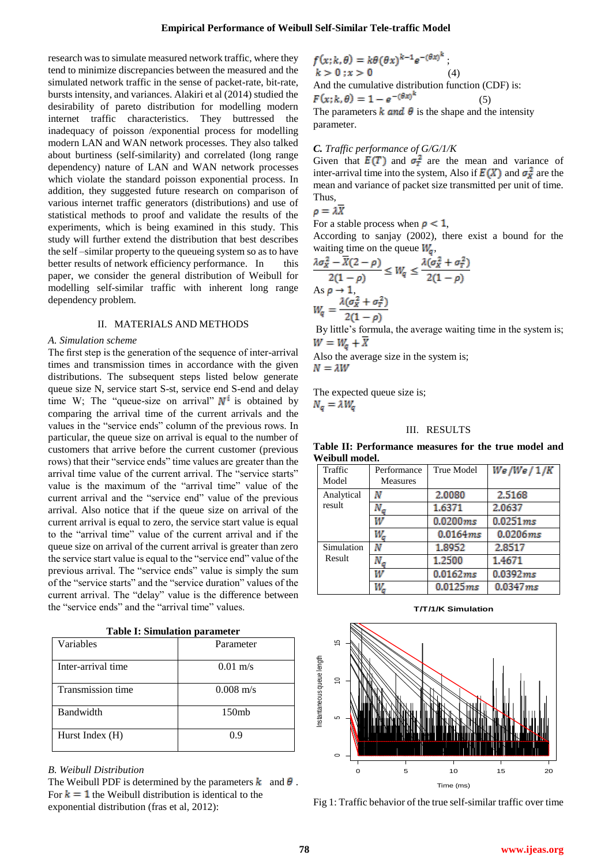research was to simulate measured network traffic, where they tend to minimize discrepancies between the measured and the simulated network traffic in the sense of packet-rate, bit-rate, bursts intensity, and variances. Alakiri et al (2014) studied the desirability of pareto distribution for modelling modern internet traffic characteristics. They buttressed the inadequacy of poisson /exponential process for modelling modern LAN and WAN network processes. They also talked about burtiness (self-similarity) and correlated (long range dependency) nature of LAN and WAN network processes which violate the standard poisson exponential process. In addition, they suggested future research on comparison of various internet traffic generators (distributions) and use of statistical methods to proof and validate the results of the experiments, which is being examined in this study. This study will further extend the distribution that best describes the self –similar property to the queueing system so as to have better results of network efficiency performance. In this paper, we consider the general distribution of Weibull for modelling self-similar traffic with inherent long range dependency problem.

#### II. MATERIALS AND METHODS

## *A. Simulation scheme*

The first step is the generation of the sequence of inter-arrival times and transmission times in accordance with the given distributions. The subsequent steps listed below generate queue size N, service start S-st, service end S-end and delay time W; The "queue-size on arrival"  $N^i$  is obtained by comparing the arrival time of the current arrivals and the values in the "service ends" column of the previous rows. In particular, the queue size on arrival is equal to the number of customers that arrive before the current customer (previous rows) that their "service ends" time values are greater than the arrival time value of the current arrival. The "service starts" value is the maximum of the "arrival time" value of the current arrival and the "service end" value of the previous arrival. Also notice that if the queue size on arrival of the current arrival is equal to zero, the service start value is equal to the "arrival time" value of the current arrival and if the queue size on arrival of the current arrival is greater than zero the service start value is equal to the "service end" value of the previous arrival. The "service ends" value is simply the sum of the "service starts" and the "service duration" values of the current arrival. The "delay" value is the difference between the "service ends" and the "arrival time" values.

|  | <b>Table I: Simulation parameter</b> |  |
|--|--------------------------------------|--|
|--|--------------------------------------|--|

| Variables          | Parameter           |  |
|--------------------|---------------------|--|
| Inter-arrival time | $0.01 \text{ m/s}$  |  |
| Transmission time  | $0.008 \text{ m/s}$ |  |
| <b>Bandwidth</b>   | 150mb               |  |
| Hurst Index (H)    | 0.9                 |  |

#### *B. Weibull Distribution*

The Weibull PDF is determined by the parameters  $\bf{k}$  and  $\bf{\theta}$ . For  $k = 1$  the Weibull distribution is identical to the exponential distribution (fras et al, 2012):

$$
f(x; k, \theta) = k\theta (\theta x)^{k-1} e^{-(\theta x)^k}
$$
  
\n
$$
k > 0; x > 0
$$
 (4)  
\nAnd the cumulative distribution function (CDF) is:  
\n
$$
F(x; k, \theta) = 1 - e^{-(\theta x)^k}
$$
 (5)  
\nThe parameters *k* and  $\theta$  is the shape and the intensity  
\nparameter.

## *C. Traffic performance of G/G/1/K*

Given that  $E(T)$  and  $\sigma_T^2$  are the mean and variance of inter-arrival time into the system, Also if  $E(X)$  and  $\sigma_X^2$  are the mean and variance of packet size transmitted per unit of time. Thus,

$$
\rho = \lambda \overline{X}
$$

For a stable process when  $\rho < 1$ ,

According to sanjay (2002), there exist a bound for the waiting time on the queue  $W_a$ ,

$$
\frac{\lambda \sigma_x^2 - \overline{X}(2-\rho)}{2(1-\rho)} \le W_q \le \frac{\lambda(\sigma_x^2 + \sigma_\tau^2)}{2(1-\rho)}
$$
  
As  $\rho \to 1$ ,  

$$
W_q = \frac{\lambda(\sigma_x^2 + \sigma_\tau^2)}{2(1-\rho)}
$$
  
By little's formula, the average waiting time in the system is;

 $W = W_a + X$ Also the average size in the system is;

 $N = \lambda W$ 

The expected queue size is;  $N_a = \lambda W_a$ 

#### III. RESULTS

**Table II: Performance measures for the true model and Weibull model.**

| Traffic    | Performance     | <b>True Model</b> | We/We/1/K   |
|------------|-----------------|-------------------|-------------|
| Model      | <b>Measures</b> |                   |             |
| Analytical | Ν               | 2.0080            | 2.5168      |
| result     | N <sub>a</sub>  | 1.6371            | 2.0637      |
|            | w               | 0.0200 ms         | 0.0251 ms   |
|            | w.              | 0.0164ms          | $0.0206$ ms |
| Simulation | Ν               | 1.8952            | 2.8517      |
| Result     | N <sub>a</sub>  | 1.2500            | 1.4671      |
|            |                 | 0.0162ms          | 0.0392 ms   |
|            | W.              | 0.0125 ms         | 0.0347 ms   |

**T/T/1/K Simulation**



Fig 1: Traffic behavior of the true self-similar traffic over time